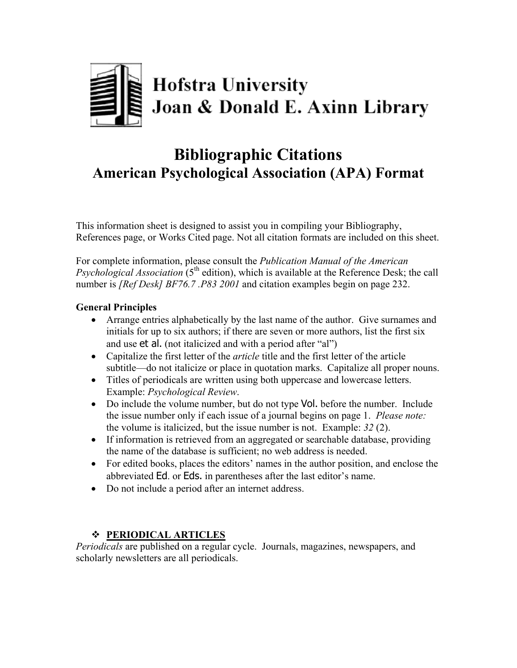

# **Bibliographic Citations American Psychological Association (APA) Format**

This information sheet is designed to assist you in compiling your Bibliography, References page, or Works Cited page. Not all citation formats are included on this sheet.

For complete information, please consult the *Publication Manual of the American Psychological Association* (5<sup>th</sup> edition), which is available at the Reference Desk; the call number is *[Ref Desk] BF76.7 .P83 2001* and citation examples begin on page 232.

#### **General Principles**

- Arrange entries alphabetically by the last name of the author. Give surnames and initials for up to six authors; if there are seven or more authors, list the first six and use et al. (not italicized and with a period after "al")
- Capitalize the first letter of the *article* title and the first letter of the article subtitle—do not italicize or place in quotation marks. Capitalize all proper nouns.
- Titles of periodicals are written using both uppercase and lowercase letters. Example: *Psychological Review*.
- Do include the volume number, but do not type Vol. before the number. Include the issue number only if each issue of a journal begins on page 1. *Please note:* the volume is italicized, but the issue number is not. Example: *32* (2).
- If information is retrieved from an aggregated or searchable database, providing the name of the database is sufficient; no web address is needed.
- For edited books, places the editors' names in the author position, and enclose the abbreviated Ed. or Eds. in parentheses after the last editor's name.
- Do not include a period after an internet address.

# **PERIODICAL ARTICLES**

*Periodicals* are published on a regular cycle. Journals, magazines, newspapers, and scholarly newsletters are all periodicals.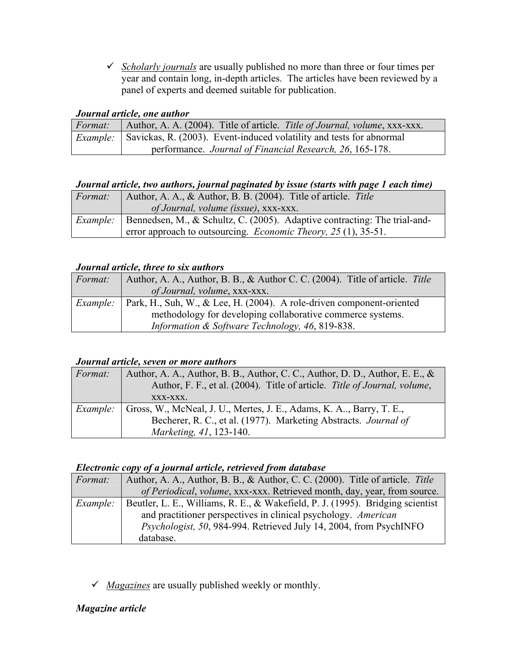9 *Scholarly journals* are usually published no more than three or four times per year and contain long, in-depth articles. The articles have been reviewed by a panel of experts and deemed suitable for publication.

## *Journal article, one author*

| Format: | Author, A. A. (2004). Title of article. Title of Journal, volume, xxx-xxx.           |
|---------|--------------------------------------------------------------------------------------|
|         | <i>Example:</i> Savickas, R. (2003). Event-induced volatility and tests for abnormal |
|         | performance. Journal of Financial Research, 26, 165-178.                             |

## *Journal article, two authors, journal paginated by issue (starts with page 1 each time)*

| Format: | Author, A. A., & Author, B. B. (2004). Title of article. Title                              |
|---------|---------------------------------------------------------------------------------------------|
|         | of Journal, volume (issue), xxx-xxx.                                                        |
|         | <i>Example:</i>   Bennedsen, M., & Schultz, C. (2005). Adaptive contracting: The trial-and- |
|         | error approach to outsourcing. <i>Economic Theory</i> , $25(1)$ , $35-51$ .                 |

## *Journal article, three to six authors*

| Format:  | Author, A. A., Author, B. B., & Author C. C. (2004). Title of article. Title |
|----------|------------------------------------------------------------------------------|
|          | of Journal, volume, xxx-xxx.                                                 |
| Example: | Park, H., Suh, W., & Lee, H. (2004). A role-driven component-oriented        |
|          | methodology for developing collaborative commerce systems.                   |
|          | Information & Software Technology, 46, 819-838.                              |

#### *Journal article, seven or more authors*

| Format:  | Author, A. A., Author, B. B., Author, C. C., Author, D. D., Author, E. E., & |
|----------|------------------------------------------------------------------------------|
|          | Author, F. F., et al. (2004). Title of article. Title of Journal, volume,    |
|          | XXX-XXX.                                                                     |
| Example: | Gross, W., McNeal, J. U., Mertes, J. E., Adams, K. A., Barry, T. E.,         |
|          | Becherer, R. C., et al. (1977). Marketing Abstracts. <i>Journal of</i>       |
|          | Marketing, 41, 123-140.                                                      |

# *Electronic copy of a journal article, retrieved from database*

| Format:  | Author, A. A., Author, B. B., & Author, C. C. (2000). Title of article. Title  |
|----------|--------------------------------------------------------------------------------|
|          | of Periodical, volume, xxx-xxx. Retrieved month, day, year, from source.       |
| Example: | Beutler, L. E., Williams, R. E., & Wakefield, P. J. (1995). Bridging scientist |
|          | and practitioner perspectives in clinical psychology. American                 |
|          | <i>Psychologist, 50, 984-994. Retrieved July 14, 2004, from PsychINFO</i>      |
|          | database.                                                                      |

9 *Magazines* are usually published weekly or monthly.

# *Magazine article*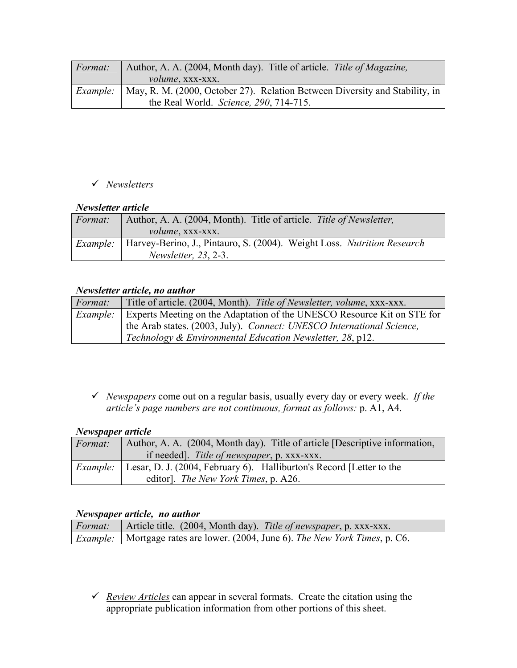| Format:  | Author, A. A. (2004, Month day). Title of article. Title of Magazine,       |
|----------|-----------------------------------------------------------------------------|
|          | <i>volume</i> , xxx-xxx.                                                    |
| Example: | May, R. M. (2000, October 27). Relation Between Diversity and Stability, in |
|          | the Real World. Science, 290, 714-715.                                      |

# 9 *Newsletters*

#### *Newsletter article*

| Format: | Author, A. A. (2004, Month). Title of article. Title of Newsletter,                              |
|---------|--------------------------------------------------------------------------------------------------|
|         | <i>volume</i> , xxx-xxx.                                                                         |
|         | <i>Example:</i>   Harvey-Berino, J., Pintauro, S. (2004). Weight Loss. <i>Nutrition Research</i> |
|         | Newsletter, $23, 2-3$ .                                                                          |

#### *Newsletter article, no author*

| Format:  | Title of article. (2004, Month). Title of Newsletter, volume, xxx-xxx.  |
|----------|-------------------------------------------------------------------------|
| Example: | Experts Meeting on the Adaptation of the UNESCO Resource Kit on STE for |
|          | the Arab states. (2003, July). Connect: UNESCO International Science,   |
|          | Technology & Environmental Education Newsletter, 28, p12.               |

9 *Newspapers* come out on a regular basis, usually every day or every week. *If the article's page numbers are not continuous, format as follows:* p. A1, A4.

## *Newspaper article*

| Format: | Author, A. A. (2004, Month day). Title of article [Descriptive information,          |
|---------|--------------------------------------------------------------------------------------|
|         | if needed]. Title of newspaper, p. xxx-xxx.                                          |
|         | <i>Example:</i> Lesar, D. J. (2004, February 6). Halliburton's Record [Letter to the |
|         | editor]. <i>The New York Times</i> , p. A26.                                         |

## *Newspaper article, no author*

| <i>Format:</i> Article title. (2004, Month day). Title of newspaper, p. xxx-xxx.               |
|------------------------------------------------------------------------------------------------|
| <i>Example:</i>   Mortgage rates are lower. (2004, June 6). <i>The New York Times</i> , p. C6. |

9 *Review Articles* can appear in several formats. Create the citation using the appropriate publication information from other portions of this sheet.